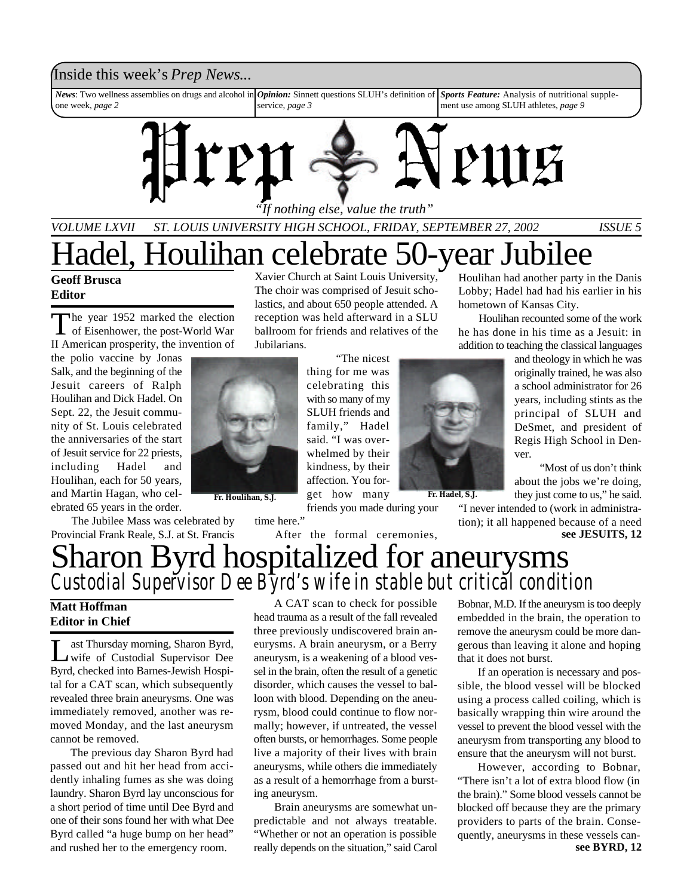### Inside this week's *Prep News*...

*News*: Two wellness assemblies on drugs and alcohol in one week, *page 2 Sports Feature:* Analysis of nutritional supplement use among SLUH athletes, *page 9 Opinion:* Sinnett questions SLUH's definition of service, *page 3*



*"If nothing else, value the truth"*

The choir was comprised of Jesuit scholastics, and about 650 people attended. A reception was held afterward in a SLU ballroom for friends and relatives of the

> "The nicest thing for me was

*VOLUME LXVII ST. LOUIS UNIVERSITY HIGH SCHOOL, FRIDAY, SEPTEMBER 27, 2002 ISSUE 5*

### Hadel, Houlihan celebrate 50-year Jubilee Xavier Church at Saint Louis University,

#### **Geoff Brusca Editor**

The year 1952 marked the election<br>of Eisenhower, the post-World War he year 1952 marked the election II American prosperity, the invention of

the polio vaccine by Jonas Salk, and the beginning of the Jesuit careers of Ralph Houlihan and Dick Hadel. On Sept. 22, the Jesuit community of St. Louis celebrated the anniversaries of the start of Jesuit service for 22 priests, including Hadel and Houlihan, each for 50 years, and Martin Hagan, who celebrated 65 years in the order.

After the formal ceremonies,

Houlihan had another party in the Danis Lobby; Hadel had had his earlier in his hometown of Kansas City.

Houlihan recounted some of the work he has done in his time as a Jesuit: in addition to teaching the classical languages

and theology in which he was originally trained, he was also a school administrator for 26 years, including stints as the principal of SLUH and DeSmet, and president of Regis High School in Denver. "Most of us don't think

about the jobs we're doing, they just come to us," he said.

tion); it all happened because of a need **see JESUITS, 12**

Sharon Byrd hospitalized for aneurysms Provincial Frank Reale, S.J. at St. Francis *Custodial Supervisor Dee Byrd's wife in stable but critical condition*

#### **Matt Hoffman Editor in Chief**

L ast Thursday morning, Sharon Byrd, wife of Custodial Supervisor Dee Byrd, checked into Barnes-Jewish Hospital for a CAT scan, which subsequently revealed three brain aneurysms. One was immediately removed, another was removed Monday, and the last aneurysm cannot be removed.

The Jubilee Mass was celebrated by

The previous day Sharon Byrd had passed out and hit her head from accidently inhaling fumes as she was doing laundry. Sharon Byrd lay unconscious for a short period of time until Dee Byrd and one of their sons found her with what Dee Byrd called "a huge bump on her head" and rushed her to the emergency room.

A CAT scan to check for possible head trauma as a result of the fall revealed three previously undiscovered brain aneurysms. A brain aneurysm, or a Berry aneurysm, is a weakening of a blood vessel in the brain, often the result of a genetic disorder, which causes the vessel to balloon with blood. Depending on the aneurysm, blood could continue to flow normally; however, if untreated, the vessel often bursts, or hemorrhages. Some people live a majority of their lives with brain aneurysms, while others die immediately as a result of a hemorrhage from a bursting aneurysm.

Brain aneurysms are somewhat unpredictable and not always treatable. "Whether or not an operation is possible really depends on the situation," said Carol Bobnar, M.D. If the aneurysm is too deeply embedded in the brain, the operation to remove the aneurysm could be more dangerous than leaving it alone and hoping that it does not burst.

If an operation is necessary and possible, the blood vessel will be blocked using a process called coiling, which is basically wrapping thin wire around the vessel to prevent the blood vessel with the aneurysm from transporting any blood to ensure that the aneurysm will not burst.

However, according to Bobnar, "There isn't a lot of extra blood flow (in the brain)." Some blood vessels cannot be blocked off because they are the primary providers to parts of the brain. Consequently, aneurysms in these vessels can**see BYRD, 12**

#### celebrating this with so many of my SLUH friends and family," Hadel said. "I was overwhelmed by their kindness, by their affection. You for-

Jubilarians.

time here."



get how many **Fr. Hadel, S.J. Fr. Houlihan, S.J.**friends you made during your

"I never intended to (work in administra-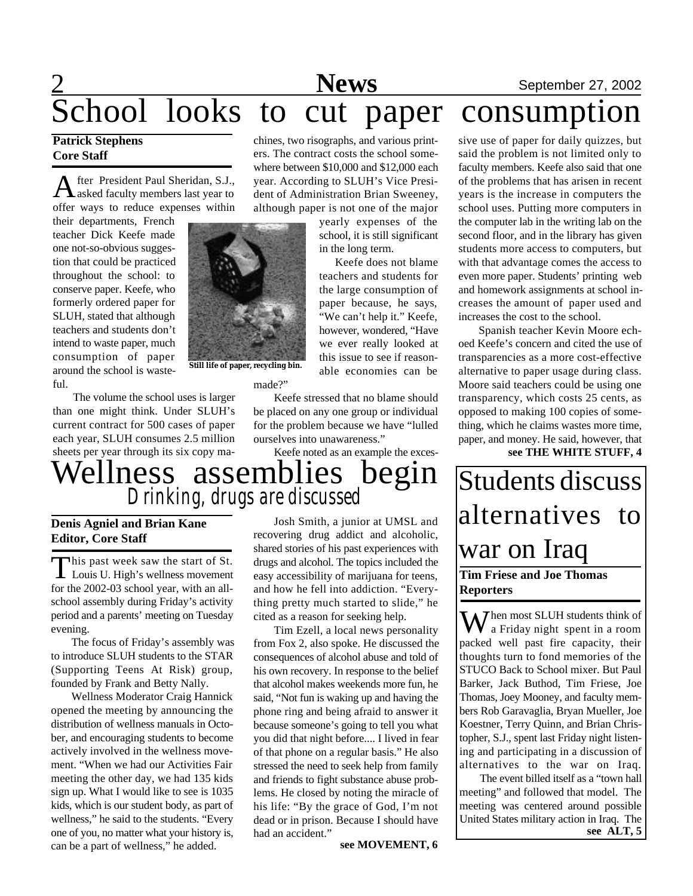# **2** September 27, 2002 School looks to cut paper consumption

#### **Patrick Stephens Core Staff**

A fter President Paul Sheridan, S.J., fter President Paul Sheridan, S.J., offer ways to reduce expenses within

their departments, French teacher Dick Keefe made one not-so-obvious suggestion that could be practiced throughout the school: to conserve paper. Keefe, who formerly ordered paper for SLUH, stated that although teachers and students don't intend to waste paper, much consumption of paper around the school is wasteful.

The volume the school uses is larger than one might think. Under SLUH's current contract for 500 cases of paper each year, SLUH consumes 2.5 million sheets per year through its six copy ma-

chines, two risographs, and various printers. The contract costs the school somewhere between \$10,000 and \$12,000 each year. According to SLUH's Vice President of Administration Brian Sweeney, although paper is not one of the major

> yearly expenses of the school, it is still significant in the long term.

Keefe does not blame teachers and students for the large consumption of paper because, he says, "We can't help it." Keefe, however, wondered, "Have we ever really looked at this issue to see if reasonable economies can be

made?"

Keefe stressed that no blame should be placed on any one group or individual for the problem because we have "lulled ourselves into unawareness."

Keefe noted as an example the exces-

Wellness assemblies begin *Drinking, drugs are discussed*

**Still life of paper, recycling bin.**

#### **Denis Agniel and Brian Kane Editor, Core Staff**

This past week saw the start of St.<br>Louis U. High's wellness movement This past week saw the start of St. for the 2002-03 school year, with an allschool assembly during Friday's activity period and a parents' meeting on Tuesday evening.

The focus of Friday's assembly was to introduce SLUH students to the STAR (Supporting Teens At Risk) group, founded by Frank and Betty Nally.

Wellness Moderator Craig Hannick opened the meeting by announcing the distribution of wellness manuals in October, and encouraging students to become actively involved in the wellness movement. "When we had our Activities Fair meeting the other day, we had 135 kids sign up. What I would like to see is 1035 kids, which is our student body, as part of wellness," he said to the students. "Every one of you, no matter what your history is, can be a part of wellness," he added.

Josh Smith, a junior at UMSL and recovering drug addict and alcoholic, shared stories of his past experiences with drugs and alcohol. The topics included the easy accessibility of marijuana for teens, and how he fell into addiction. "Everything pretty much started to slide," he cited as a reason for seeking help.

Tim Ezell, a local news personality from Fox 2, also spoke. He discussed the consequences of alcohol abuse and told of his own recovery. In response to the belief that alcohol makes weekends more fun, he said, "Not fun is waking up and having the phone ring and being afraid to answer it because someone's going to tell you what you did that night before.... I lived in fear of that phone on a regular basis." He also stressed the need to seek help from family and friends to fight substance abuse problems. He closed by noting the miracle of his life: "By the grace of God, I'm not dead or in prison. Because I should have had an accident."

**see MOVEMENT, 6**

sive use of paper for daily quizzes, but said the problem is not limited only to faculty members. Keefe also said that one of the problems that has arisen in recent years is the increase in computers the school uses. Putting more computers in

the computer lab in the writing lab on the second floor, and in the library has given students more access to computers, but with that advantage comes the access to even more paper. Students' printing web and homework assignments at school increases the amount of paper used and increases the cost to the school.

Spanish teacher Kevin Moore echoed Keefe's concern and cited the use of transparencies as a more cost-effective alternative to paper usage during class. Moore said teachers could be using one transparency, which costs 25 cents, as opposed to making 100 copies of something, which he claims wastes more time, paper, and money. He said, however, that **see THE WHITE STUFF, 4**

Students discuss alternatives to war on Iraq **Tim Friese and Joe Thomas**

**Reporters**

 $\mathbf{W}$  hen most SLUH students think of a Friday night spent in a room packed well past fire capacity, their thoughts turn to fond memories of the STUCO Back to School mixer. But Paul Barker, Jack Buthod, Tim Friese, Joe Thomas, Joey Mooney, and faculty members Rob Garavaglia, Bryan Mueller, Joe Koestner, Terry Quinn, and Brian Christopher, S.J., spent last Friday night listening and participating in a discussion of alternatives to the war on Iraq.

The event billed itself as a "town hall meeting" and followed that model. The meeting was centered around possible United States military action in Iraq. The **see ALT, 5**

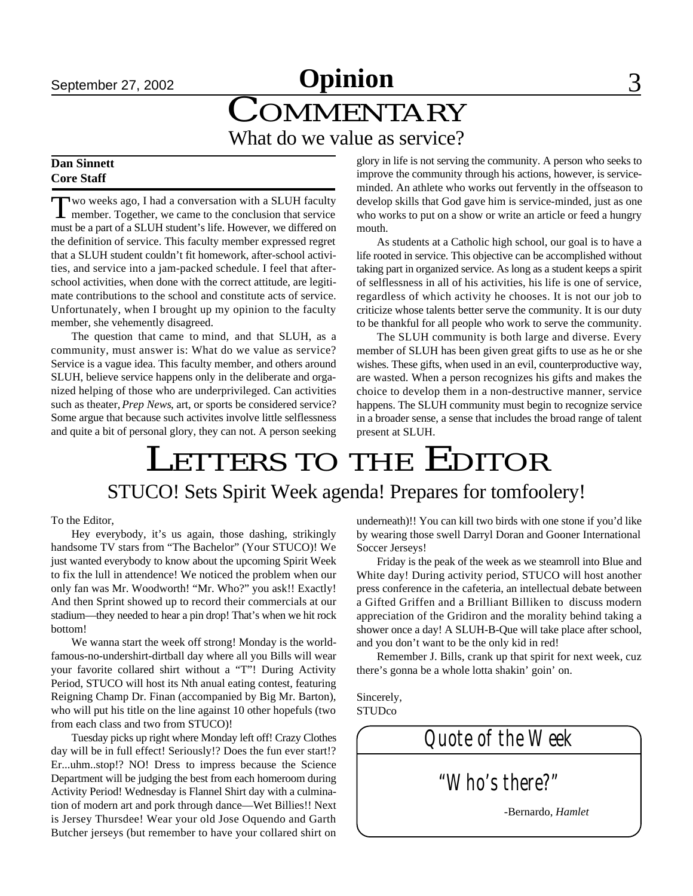# **September 27, 2002 Opinion** 3 COMMENTARY What do we value as service?

#### **Dan Sinnett Core Staff**

Two weeks ago, I had a conversation with a SLUH faculty<br>member. Together, we came to the conclusion that service wo weeks ago, I had a conversation with a SLUH faculty must be a part of a SLUH student's life. However, we differed on the definition of service. This faculty member expressed regret that a SLUH student couldn't fit homework, after-school activities, and service into a jam-packed schedule. I feel that afterschool activities, when done with the correct attitude, are legitimate contributions to the school and constitute acts of service. Unfortunately, when I brought up my opinion to the faculty member, she vehemently disagreed.

The question that came to mind, and that SLUH, as a community, must answer is: What do we value as service? Service is a vague idea. This faculty member, and others around SLUH, believe service happens only in the deliberate and organized helping of those who are underprivileged. Can activities such as theater, *Prep News*, art, or sports be considered service? Some argue that because such activites involve little selflessness and quite a bit of personal glory, they can not. A person seeking

glory in life is not serving the community. A person who seeks to improve the community through his actions, however, is serviceminded. An athlete who works out fervently in the offseason to develop skills that God gave him is service-minded, just as one who works to put on a show or write an article or feed a hungry mouth.

As students at a Catholic high school, our goal is to have a life rooted in service. This objective can be accomplished without taking part in organized service. As long as a student keeps a spirit of selflessness in all of his activities, his life is one of service, regardless of which activity he chooses. It is not our job to criticize whose talents better serve the community. It is our duty to be thankful for all people who work to serve the community.

The SLUH community is both large and diverse. Every member of SLUH has been given great gifts to use as he or she wishes. These gifts, when used in an evil, counterproductive way, are wasted. When a person recognizes his gifts and makes the choice to develop them in a non-destructive manner, service happens. The SLUH community must begin to recognize service in a broader sense, a sense that includes the broad range of talent present at SLUH.

# LETTERS TO THE EDITOR STUCO! Sets Spirit Week agenda! Prepares for tomfoolery!

#### To the Editor,

Hey everybody, it's us again, those dashing, strikingly handsome TV stars from "The Bachelor" (Your STUCO)! We just wanted everybody to know about the upcoming Spirit Week to fix the lull in attendence! We noticed the problem when our only fan was Mr. Woodworth! "Mr. Who?" you ask!! Exactly! And then Sprint showed up to record their commercials at our stadium—they needed to hear a pin drop! That's when we hit rock bottom!

We wanna start the week off strong! Monday is the worldfamous-no-undershirt-dirtball day where all you Bills will wear your favorite collared shirt without a "T"! During Activity Period, STUCO will host its Nth anual eating contest, featuring Reigning Champ Dr. Finan (accompanied by Big Mr. Barton), who will put his title on the line against 10 other hopefuls (two from each class and two from STUCO)!

Tuesday picks up right where Monday left off! Crazy Clothes day will be in full effect! Seriously!? Does the fun ever start!? Er...uhm..stop!? NO! Dress to impress because the Science Department will be judging the best from each homeroom during Activity Period! Wednesday is Flannel Shirt day with a culmination of modern art and pork through dance—Wet Billies!! Next is Jersey Thursdee! Wear your old Jose Oquendo and Garth Butcher jerseys (but remember to have your collared shirt on

underneath)!! You can kill two birds with one stone if you'd like by wearing those swell Darryl Doran and Gooner International Soccer Jerseys!

Friday is the peak of the week as we steamroll into Blue and White day! During activity period, STUCO will host another press conference in the cafeteria, an intellectual debate between a Gifted Griffen and a Brilliant Billiken to discuss modern appreciation of the Gridiron and the morality behind taking a shower once a day! A SLUH-B-Que will take place after school, and you don't want to be the only kid in red!

Remember J. Bills, crank up that spirit for next week, cuz there's gonna be a whole lotta shakin' goin' on.

Sincerely, STUDco

*Quote of the Week "Who's there?"* -Bernardo, *Hamlet*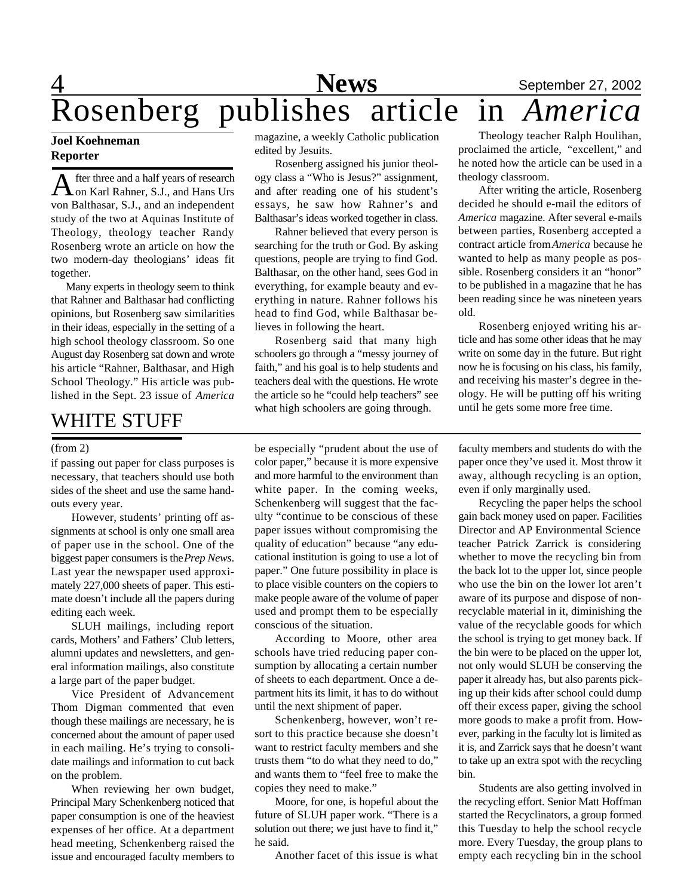# 4 **News** September 27, 2002 Rosenberg publishes article in *America*

#### **Joel Koehneman Reporter**

A fter three and a half years of research<br>On Karl Rahner, S.J., and Hans Urs fter three and a half years of research von Balthasar, S.J., and an independent study of the two at Aquinas Institute of Theology, theology teacher Randy Rosenberg wrote an article on how the two modern-day theologians' ideas fit together.

Many experts in theology seem to think that Rahner and Balthasar had conflicting opinions, but Rosenberg saw similarities in their ideas, especially in the setting of a high school theology classroom. So one August day Rosenberg sat down and wrote his article "Rahner, Balthasar, and High School Theology." His article was published in the Sept. 23 issue of *America*

## WHITE STUFF

#### (from 2)

if passing out paper for class purposes is necessary, that teachers should use both sides of the sheet and use the same handouts every year.

However, students' printing off assignments at school is only one small area of paper use in the school. One of the biggest paper consumers is the *Prep News*. Last year the newspaper used approximately 227,000 sheets of paper. This estimate doesn't include all the papers during editing each week.

SLUH mailings, including report cards, Mothers' and Fathers' Club letters, alumni updates and newsletters, and general information mailings, also constitute a large part of the paper budget.

Vice President of Advancement Thom Digman commented that even though these mailings are necessary, he is concerned about the amount of paper used in each mailing. He's trying to consolidate mailings and information to cut back on the problem.

When reviewing her own budget, Principal Mary Schenkenberg noticed that paper consumption is one of the heaviest expenses of her office. At a department head meeting, Schenkenberg raised the issue and encouraged faculty members to

magazine, a weekly Catholic publication edited by Jesuits.

Rosenberg assigned his junior theology class a "Who is Jesus?" assignment, and after reading one of his student's essays, he saw how Rahner's and Balthasar's ideas worked together in class.

Rahner believed that every person is searching for the truth or God. By asking questions, people are trying to find God. Balthasar, on the other hand, sees God in everything, for example beauty and everything in nature. Rahner follows his head to find God, while Balthasar believes in following the heart.

Rosenberg said that many high schoolers go through a "messy journey of faith," and his goal is to help students and teachers deal with the questions. He wrote the article so he "could help teachers" see what high schoolers are going through.

be especially "prudent about the use of color paper," because it is more expensive and more harmful to the environment than white paper. In the coming weeks, Schenkenberg will suggest that the faculty "continue to be conscious of these paper issues without compromising the quality of education" because "any educational institution is going to use a lot of paper." One future possibility in place is to place visible counters on the copiers to make people aware of the volume of paper used and prompt them to be especially conscious of the situation.

According to Moore, other area schools have tried reducing paper consumption by allocating a certain number of sheets to each department. Once a department hits its limit, it has to do without until the next shipment of paper.

Schenkenberg, however, won't resort to this practice because she doesn't want to restrict faculty members and she trusts them "to do what they need to do," and wants them to "feel free to make the copies they need to make."

Moore, for one, is hopeful about the future of SLUH paper work. "There is a solution out there; we just have to find it," he said.

Another facet of this issue is what

Theology teacher Ralph Houlihan, proclaimed the article, "excellent," and he noted how the article can be used in a theology classroom.

After writing the article, Rosenberg decided he should e-mail the editors of *America* magazine. After several e-mails between parties, Rosenberg accepted a contract article from *America* because he wanted to help as many people as possible. Rosenberg considers it an "honor" to be published in a magazine that he has been reading since he was nineteen years old.

Rosenberg enjoyed writing his article and has some other ideas that he may write on some day in the future. But right now he is focusing on his class, his family, and receiving his master's degree in theology. He will be putting off his writing until he gets some more free time.

faculty members and students do with the paper once they've used it. Most throw it away, although recycling is an option, even if only marginally used.

Recycling the paper helps the school gain back money used on paper. Facilities Director and AP Environmental Science teacher Patrick Zarrick is considering whether to move the recycling bin from the back lot to the upper lot, since people who use the bin on the lower lot aren't aware of its purpose and dispose of nonrecyclable material in it, diminishing the value of the recyclable goods for which the school is trying to get money back. If the bin were to be placed on the upper lot, not only would SLUH be conserving the paper it already has, but also parents picking up their kids after school could dump off their excess paper, giving the school more goods to make a profit from. However, parking in the faculty lot is limited as it is, and Zarrick says that he doesn't want to take up an extra spot with the recycling bin.

Students are also getting involved in the recycling effort. Senior Matt Hoffman started the Recyclinators, a group formed this Tuesday to help the school recycle more. Every Tuesday, the group plans to empty each recycling bin in the school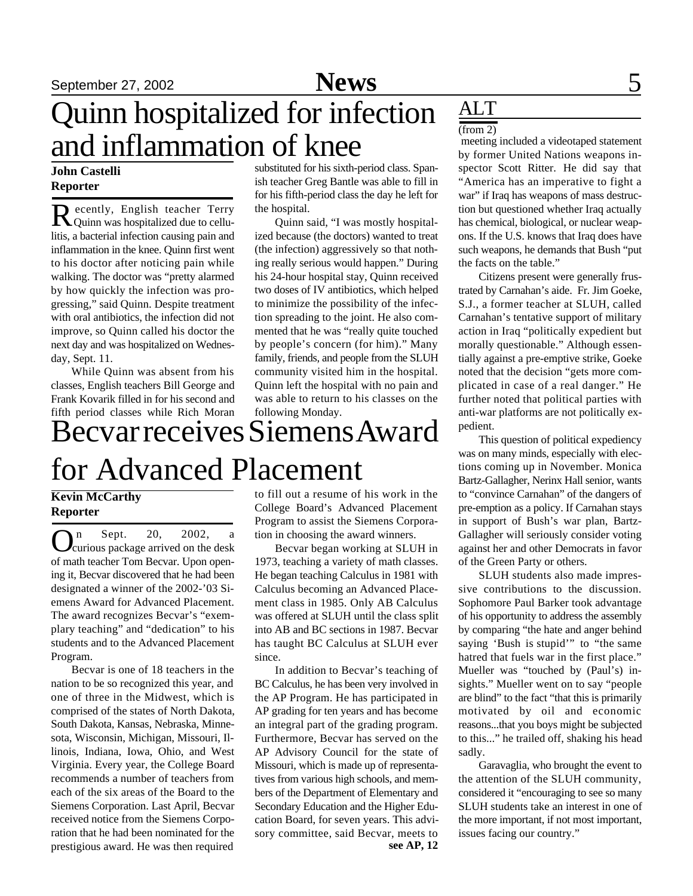# Quinn hospitalized for infection and inflammation of knee

#### **John Castelli Reporter**

Recently, English teacher Terry<br>Quinn was hospitalized due to cellu-**D** ecently, English teacher Terry litis, a bacterial infection causing pain and inflammation in the knee. Quinn first went to his doctor after noticing pain while walking. The doctor was "pretty alarmed by how quickly the infection was progressing," said Quinn. Despite treatment with oral antibiotics, the infection did not improve, so Quinn called his doctor the next day and was hospitalized on Wednesday, Sept. 11.

While Quinn was absent from his classes, English teachers Bill George and Frank Kovarik filled in for his second and fifth period classes while Rich Moran

substituted for his sixth-period class. Spanish teacher Greg Bantle was able to fill in for his fifth-period class the day he left for the hospital.

Quinn said, "I was mostly hospitalized because (the doctors) wanted to treat (the infection) aggressively so that nothing really serious would happen." During his 24-hour hospital stay, Quinn received two doses of IV antibiotics, which helped to minimize the possibility of the infection spreading to the joint. He also commented that he was "really quite touched by people's concern (for him)." Many family, friends, and people from the SLUH community visited him in the hospital. Quinn left the hospital with no pain and was able to return to his classes on the following Monday.

# Becvar receives Siemens Award for Advanced Placement

### **Kevin McCarthy Reporter**

 $\sum_{\text{curious package arrived on the desk}}^n$ n Sept. 20, 2002, a of math teacher Tom Becvar. Upon opening it, Becvar discovered that he had been designated a winner of the 2002-'03 Siemens Award for Advanced Placement. The award recognizes Becvar's "exemplary teaching" and "dedication" to his students and to the Advanced Placement Program.

Becvar is one of 18 teachers in the nation to be so recognized this year, and one of three in the Midwest, which is comprised of the states of North Dakota, South Dakota, Kansas, Nebraska, Minnesota, Wisconsin, Michigan, Missouri, Illinois, Indiana, Iowa, Ohio, and West Virginia. Every year, the College Board recommends a number of teachers from each of the six areas of the Board to the Siemens Corporation. Last April, Becvar received notice from the Siemens Corporation that he had been nominated for the prestigious award. He was then required

to fill out a resume of his work in the College Board's Advanced Placement Program to assist the Siemens Corporation in choosing the award winners.

Becvar began working at SLUH in 1973, teaching a variety of math classes. He began teaching Calculus in 1981 with Calculus becoming an Advanced Placement class in 1985. Only AB Calculus was offered at SLUH until the class split into AB and BC sections in 1987. Becvar has taught BC Calculus at SLUH ever since.

In addition to Becvar's teaching of BC Calculus, he has been very involved in the AP Program. He has participated in AP grading for ten years and has become an integral part of the grading program. Furthermore, Becvar has served on the AP Advisory Council for the state of Missouri, which is made up of representatives from various high schools, and members of the Department of Elementary and Secondary Education and the Higher Education Board, for seven years. This advisory committee, said Becvar, meets to **see AP, 12**

## ALT

### $(from 2)$

 meeting included a videotaped statement by former United Nations weapons inspector Scott Ritter. He did say that "America has an imperative to fight a war" if Iraq has weapons of mass destruction but questioned whether Iraq actually has chemical, biological, or nuclear weapons. If the U.S. knows that Iraq does have such weapons, he demands that Bush "put the facts on the table."

Citizens present were generally frustrated by Carnahan's aide. Fr. Jim Goeke, S.J., a former teacher at SLUH, called Carnahan's tentative support of military action in Iraq "politically expedient but morally questionable." Although essentially against a pre-emptive strike, Goeke noted that the decision "gets more complicated in case of a real danger." He further noted that political parties with anti-war platforms are not politically expedient.

This question of political expediency was on many minds, especially with elections coming up in November. Monica Bartz-Gallagher, Nerinx Hall senior, wants to "convince Carnahan" of the dangers of pre-emption as a policy. If Carnahan stays in support of Bush's war plan, Bartz-Gallagher will seriously consider voting against her and other Democrats in favor of the Green Party or others.

SLUH students also made impressive contributions to the discussion. Sophomore Paul Barker took advantage of his opportunity to address the assembly by comparing "the hate and anger behind saying 'Bush is stupid'" to "the same hatred that fuels war in the first place." Mueller was "touched by (Paul's) insights." Mueller went on to say "people are blind" to the fact "that this is primarily motivated by oil and economic reasons...that you boys might be subjected to this..." he trailed off, shaking his head sadly.

Garavaglia, who brought the event to the attention of the SLUH community, considered it "encouraging to see so many SLUH students take an interest in one of the more important, if not most important, issues facing our country."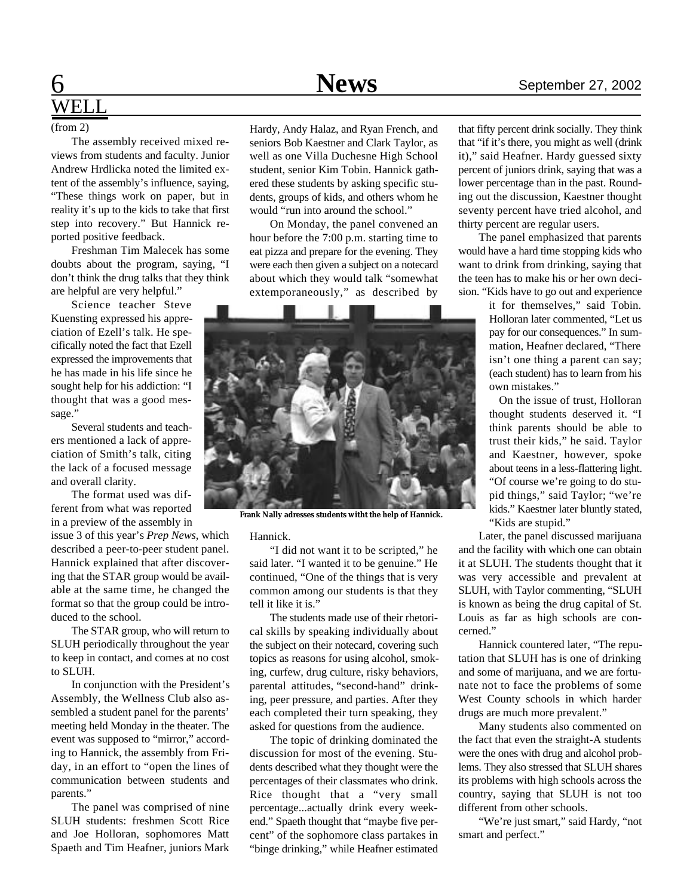# WEL J

#### (from 2)

The assembly received mixed reviews from students and faculty. Junior Andrew Hrdlicka noted the limited extent of the assembly's influence, saying, "These things work on paper, but in reality it's up to the kids to take that first step into recovery." But Hannick reported positive feedback.

Freshman Tim Malecek has some doubts about the program, saying, "I don't think the drug talks that they think are helpful are very helpful."

Science teacher Steve Kuensting expressed his appreciation of Ezell's talk. He specifically noted the fact that Ezell expressed the improvements that he has made in his life since he sought help for his addiction: "I thought that was a good message."

Several students and teachers mentioned a lack of appreciation of Smith's talk, citing the lack of a focused message and overall clarity.

The format used was different from what was reported in a preview of the assembly in

issue 3 of this year's *Prep News*, which described a peer-to-peer student panel. Hannick explained that after discovering that the STAR group would be available at the same time, he changed the format so that the group could be introduced to the school.

The STAR group, who will return to SLUH periodically throughout the year to keep in contact, and comes at no cost to SLUH.

In conjunction with the President's Assembly, the Wellness Club also assembled a student panel for the parents' meeting held Monday in the theater. The event was supposed to "mirror," according to Hannick, the assembly from Friday, in an effort to "open the lines of communication between students and parents."

The panel was comprised of nine SLUH students: freshmen Scott Rice and Joe Holloran, sophomores Matt Spaeth and Tim Heafner, juniors Mark

Hardy, Andy Halaz, and Ryan French, and seniors Bob Kaestner and Clark Taylor, as well as one Villa Duchesne High School student, senior Kim Tobin. Hannick gathered these students by asking specific students, groups of kids, and others whom he would "run into around the school."

On Monday, the panel convened an hour before the 7:00 p.m. starting time to eat pizza and prepare for the evening. They were each then given a subject on a notecard about which they would talk "somewhat extemporaneously," as described by



**Frank Nally adresses students witht the help of Hannick.**

Hannick.

"I did not want it to be scripted," he said later. "I wanted it to be genuine." He continued, "One of the things that is very common among our students is that they tell it like it is."

The students made use of their rhetorical skills by speaking individually about the subject on their notecard, covering such topics as reasons for using alcohol, smoking, curfew, drug culture, risky behaviors, parental attitudes, "second-hand" drinking, peer pressure, and parties. After they each completed their turn speaking, they asked for questions from the audience.

The topic of drinking dominated the discussion for most of the evening. Students described what they thought were the percentages of their classmates who drink. Rice thought that a "very small percentage...actually drink every weekend." Spaeth thought that "maybe five percent" of the sophomore class partakes in "binge drinking," while Heafner estimated

that fifty percent drink socially. They think that "if it's there, you might as well (drink it)," said Heafner. Hardy guessed sixty percent of juniors drink, saying that was a lower percentage than in the past. Rounding out the discussion, Kaestner thought seventy percent have tried alcohol, and thirty percent are regular users.

The panel emphasized that parents would have a hard time stopping kids who want to drink from drinking, saying that the teen has to make his or her own decision. "Kids have to go out and experience

> it for themselves," said Tobin. Holloran later commented, "Let us pay for our consequences." In summation, Heafner declared, "There isn't one thing a parent can say; (each student) has to learn from his own mistakes."

> On the issue of trust, Holloran thought students deserved it. "I think parents should be able to trust their kids," he said. Taylor and Kaestner, however, spoke about teens in a less-flattering light. "Of course we're going to do stupid things," said Taylor; "we're kids." Kaestner later bluntly stated, "Kids are stupid."

Later, the panel discussed marijuana and the facility with which one can obtain it at SLUH. The students thought that it was very accessible and prevalent at SLUH, with Taylor commenting, "SLUH is known as being the drug capital of St. Louis as far as high schools are concerned."

Hannick countered later, "The reputation that SLUH has is one of drinking and some of marijuana, and we are fortunate not to face the problems of some West County schools in which harder drugs are much more prevalent."

Many students also commented on the fact that even the straight-A students were the ones with drug and alcohol problems. They also stressed that SLUH shares its problems with high schools across the country, saying that SLUH is not too different from other schools.

"We're just smart," said Hardy, "not smart and perfect."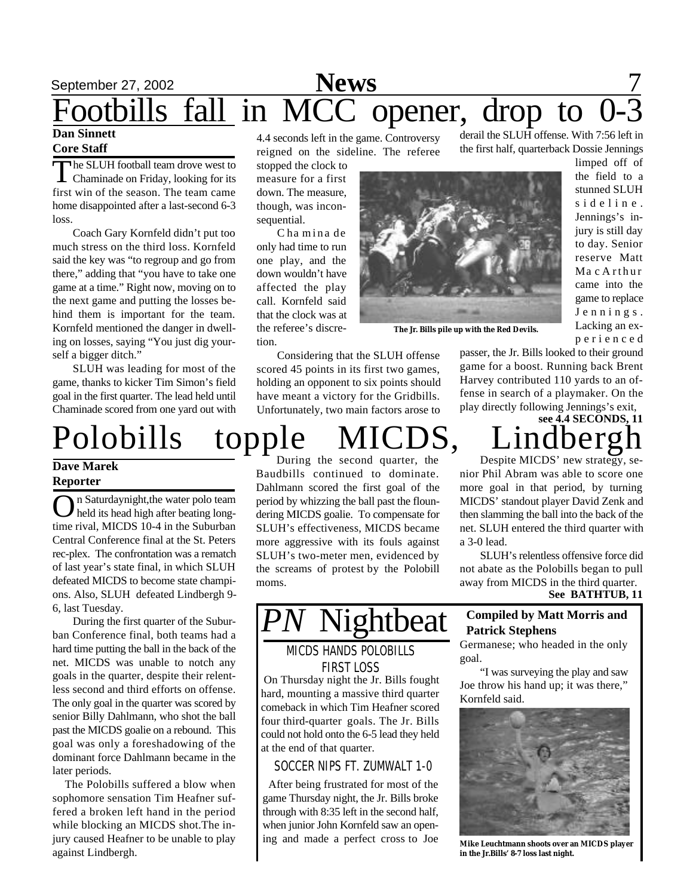# September 27, 2002 **News** 7 ootbills fall in MCC opener, drop to

#### **Dan Sinnett Core Staff**

The SLUH football team drove west to<br>Chaminade on Friday, looking for its The SLUH football team drove west to first win of the season. The team came home disappointed after a last-second 6-3 loss.

Coach Gary Kornfeld didn't put too much stress on the third loss. Kornfeld said the key was "to regroup and go from there," adding that "you have to take one game at a time." Right now, moving on to the next game and putting the losses behind them is important for the team. Kornfeld mentioned the danger in dwelling on losses, saying "You just dig yourself a bigger ditch."

SLUH was leading for most of the game, thanks to kicker Tim Simon's field goal in the first quarter. The lead held until Chaminade scored from one yard out with

Polobills topple MICDS, Lindberg

#### **Dave Marek Reporter**

**O** n Saturdaynight, the water polo team<br>held its head high after beating long-<br>time rival, MICDS 10-4 in the Suburban n Saturdaynight,the water polo team held its head high after beating long-Central Conference final at the St. Peters rec-plex. The confrontation was a rematch of last year's state final, in which SLUH defeated MICDS to become state champions. Also, SLUH defeated Lindbergh 9- 6, last Tuesday.

During the first quarter of the Suburban Conference final, both teams had a hard time putting the ball in the back of the net. MICDS was unable to notch any goals in the quarter, despite their relentless second and third efforts on offense. The only goal in the quarter was scored by senior Billy Dahlmann, who shot the ball past the MICDS goalie on a rebound. This goal was only a foreshadowing of the dominant force Dahlmann became in the later periods.

 The Polobills suffered a blow when sophomore sensation Tim Heafner suffered a broken left hand in the period while blocking an MICDS shot.The injury caused Heafner to be unable to play against Lindbergh.

4.4 seconds left in the game. Controversy reigned on the sideline. The referee

stopped the clock to measure for a first down. The measure, though, was inconsequential.

C ha mina de only had time to run one play, and the down wouldn't have affected the play call. Kornfeld said that the clock was at the referee's discretion.

Considering that the SLUH offense scored 45 points in its first two games, holding an opponent to six points should have meant a victory for the Gridbills. Unfortunately, two main factors arose to

During the second quarter, the Baudbills continued to dominate. Dahlmann scored the first goal of the period by whizzing the ball past the floundering MICDS goalie. To compensate for SLUH's effectiveness, MICDS became more aggressive with its fouls against SLUH's two-meter men, evidenced by the screams of protest by the Polobill moms.

### MICDS HANDS POLOBILLS FIRST LOSS

 On Thursday night the Jr. Bills fought hard, mounting a massive third quarter comeback in which Tim Heafner scored four third-quarter goals. The Jr. Bills could not hold onto the 6-5 lead they held at the end of that quarter.

SOCCER NIPS FT. ZUMWALT 1-0

 After being frustrated for most of the game Thursday night, the Jr. Bills broke through with 8:35 left in the second half, when junior John Kornfeld saw an opening and made a perfect cross to Joe

derail the SLUH offense. With 7:56 left in the first half, quarterback Dossie Jennings

limped off of the field to a stunned SLUH sideline. Jennings's injury is still day to day. Senior reserve Matt Ma c A rthur came into the game to replace J e n n i n g s . Lacking an exp e r i e n c e d

passer, the Jr. Bills looked to their ground game for a boost. Running back Brent Harvey contributed 110 yards to an offense in search of a playmaker. On the play directly following Jennings's exit, **see 4.4 SECONDS, 11**

**The Jr. Bills pile up with the Red Devils.**

Despite MICDS' new strategy, senior Phil Abram was able to score one more goal in that period, by turning MICDS' standout player David Zenk and then slamming the ball into the back of the net. SLUH entered the third quarter with a 3-0 lead.

**See BATHTUB, 11** SLUH's relentless offensive force did not abate as the Polobills began to pull away from MICDS in the third quarter.

### **ghtbeat Compiled by Matt Morris and Patrick Stephens**

Germanese; who headed in the only goal.

"I was surveying the play and saw Joe throw his hand up; it was there," Kornfeld said.



**Mike Leuchtmann shoots over an MICDS player in the Jr.Bills' 8-7 loss last night.**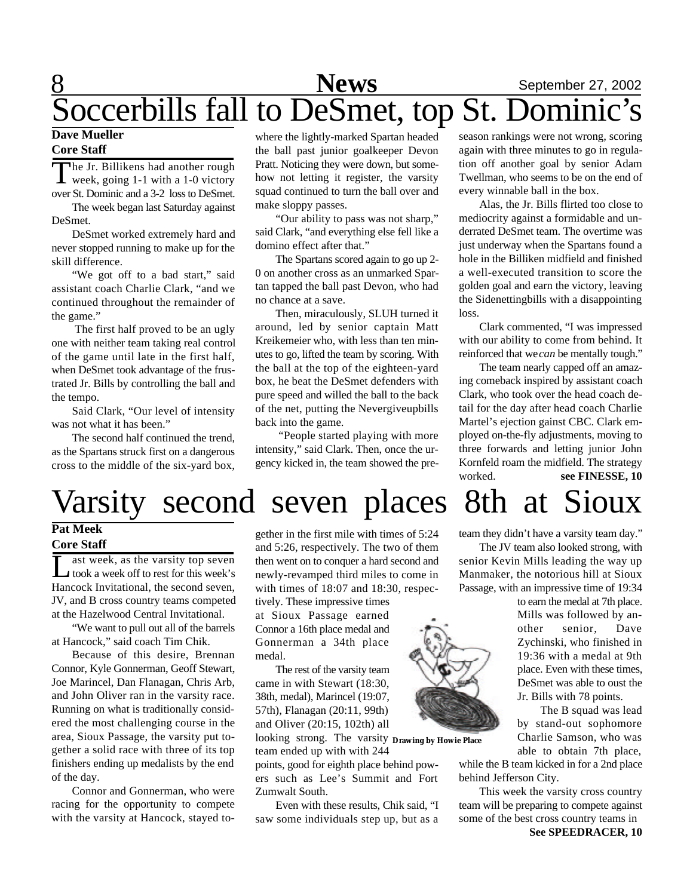# 8 **News** September 27, 2002 Soccerbills fall to DeSmet, top St. Dominic's

#### **Dave Mueller Core Staff**

The Jr. Billikens had another rough<br>week, going 1-1 with a 1-0 victory **L** week, going 1-1 with a 1-0 victory over St. Dominic and a 3-2 loss to DeSmet.

The week began last Saturday against DeSmet.

DeSmet worked extremely hard and never stopped running to make up for the skill difference.

"We got off to a bad start," said assistant coach Charlie Clark, "and we continued throughout the remainder of the game."

 The first half proved to be an ugly one with neither team taking real control of the game until late in the first half, when DeSmet took advantage of the frustrated Jr. Bills by controlling the ball and the tempo.

Said Clark, "Our level of intensity was not what it has been."

The second half continued the trend, as the Spartans struck first on a dangerous cross to the middle of the six-yard box,

where the lightly-marked Spartan headed the ball past junior goalkeeper Devon Pratt. Noticing they were down, but somehow not letting it register, the varsity squad continued to turn the ball over and make sloppy passes.

"Our ability to pass was not sharp," said Clark, "and everything else fell like a domino effect after that."

The Spartans scored again to go up 2- 0 on another cross as an unmarked Spartan tapped the ball past Devon, who had no chance at a save.

Then, miraculously, SLUH turned it around, led by senior captain Matt Kreikemeier who, with less than ten minutes to go, lifted the team by scoring. With the ball at the top of the eighteen-yard box, he beat the DeSmet defenders with pure speed and willed the ball to the back of the net, putting the Nevergiveupbills back into the game.

 "People started playing with more intensity," said Clark. Then, once the urgency kicked in, the team showed the preseason rankings were not wrong, scoring again with three minutes to go in regulation off another goal by senior Adam Twellman, who seems to be on the end of every winnable ball in the box.

Alas, the Jr. Bills flirted too close to mediocrity against a formidable and underrated DeSmet team. The overtime was just underway when the Spartans found a hole in the Billiken midfield and finished a well-executed transition to score the golden goal and earn the victory, leaving the Sidenettingbills with a disappointing loss.

Clark commented, "I was impressed with our ability to come from behind. It reinforced that we *can* be mentally tough."

The team nearly capped off an amazing comeback inspired by assistant coach Clark, who took over the head coach detail for the day after head coach Charlie Martel's ejection gainst CBC. Clark employed on-the-fly adjustments, moving to three forwards and letting junior John Kornfeld roam the midfield. The strategy worked. **see FINESSE, 10**

# Varsity second seven places 8th at Sioux

#### **Pat Meek Core Staff**

 $\overline{\coprod}$ ast week, as the varsity top seven took a week off to rest for this week's Hancock Invitational, the second seven, JV, and B cross country teams competed at the Hazelwood Central Invitational.

"We want to pull out all of the barrels at Hancock," said coach Tim Chik.

Because of this desire, Brennan Connor, Kyle Gonnerman, Geoff Stewart, Joe Marincel, Dan Flanagan, Chris Arb, and John Oliver ran in the varsity race. Running on what is traditionally considered the most challenging course in the area, Sioux Passage, the varsity put together a solid race with three of its top finishers ending up medalists by the end of the day.

Connor and Gonnerman, who were racing for the opportunity to compete with the varsity at Hancock, stayed to-

gether in the first mile with times of 5:24 and 5:26, respectively. The two of them then went on to conquer a hard second and newly-revamped third miles to come in with times of 18:07 and 18:30, respec-

tively. These impressive times at Sioux Passage earned Connor a 16th place medal and Gonnerman a 34th place medal.

The rest of the varsity team came in with Stewart (18:30, 38th, medal), Marincel (19:07, 57th), Flanagan (20:11, 99th) and Oliver (20:15, 102th) all

looking strong. The varsity **Drawing by Howie Place**team ended up with with 244

points, good for eighth place behind powers such as Lee's Summit and Fort Zumwalt South.

Even with these results, Chik said, "I saw some individuals step up, but as a

team they didn't have a varsity team day."

The JV team also looked strong, with senior Kevin Mills leading the way up Manmaker, the notorious hill at Sioux Passage, with an impressive time of 19:34

to earn the medal at 7th place. Mills was followed by another senior, Dave Zychinski, who finished in 19:36 with a medal at 9th place. Even with these times, DeSmet was able to oust the Jr. Bills with 78 points.

The B squad was lead by stand-out sophomore Charlie Samson, who was able to obtain 7th place,

while the B team kicked in for a 2nd place behind Jefferson City.

This week the varsity cross country team will be preparing to compete against some of the best cross country teams in **See SPEEDRACER, 10**

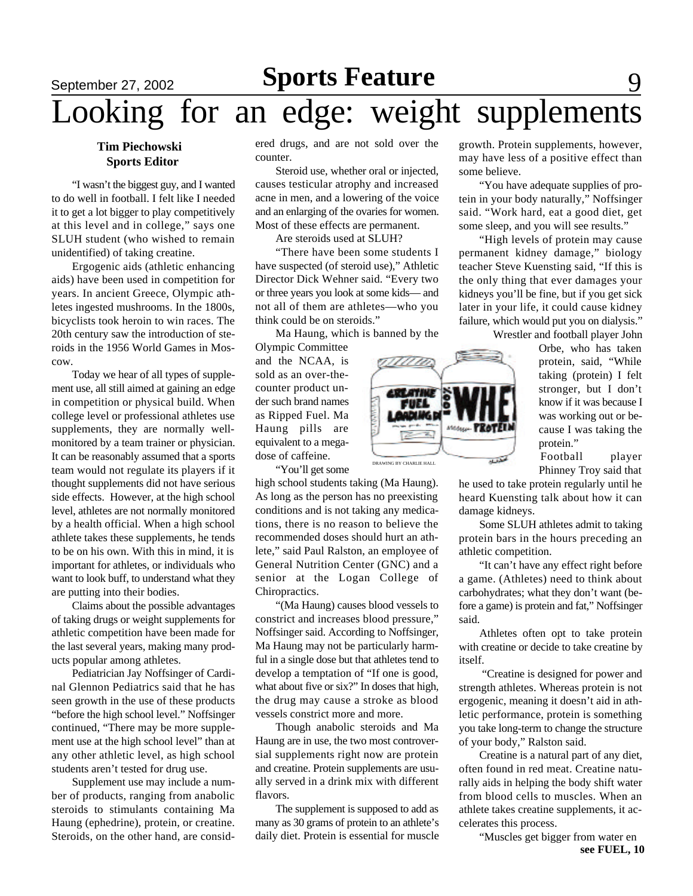# **September 27, 2002 Sports Feature** 9 Looking for an edge: weight supplements

#### **Tim Piechowski Sports Editor**

"I wasn't the biggest guy, and I wanted to do well in football. I felt like I needed it to get a lot bigger to play competitively at this level and in college," says one SLUH student (who wished to remain unidentified) of taking creatine.

Ergogenic aids (athletic enhancing aids) have been used in competition for years. In ancient Greece, Olympic athletes ingested mushrooms. In the 1800s, bicyclists took heroin to win races. The 20th century saw the introduction of steroids in the 1956 World Games in Moscow.

Today we hear of all types of supplement use, all still aimed at gaining an edge in competition or physical build. When college level or professional athletes use supplements, they are normally wellmonitored by a team trainer or physician. It can be reasonably assumed that a sports team would not regulate its players if it thought supplements did not have serious side effects. However, at the high school level, athletes are not normally monitored by a health official. When a high school athlete takes these supplements, he tends to be on his own. With this in mind, it is important for athletes, or individuals who want to look buff, to understand what they are putting into their bodies.

Claims about the possible advantages of taking drugs or weight supplements for athletic competition have been made for the last several years, making many products popular among athletes.

Pediatrician Jay Noffsinger of Cardinal Glennon Pediatrics said that he has seen growth in the use of these products "before the high school level." Noffsinger continued, "There may be more supplement use at the high school level" than at any other athletic level, as high school students aren't tested for drug use.

Supplement use may include a number of products, ranging from anabolic steroids to stimulants containing Ma Haung (ephedrine), protein, or creatine. Steroids, on the other hand, are considered drugs, and are not sold over the counter.

Steroid use, whether oral or injected, causes testicular atrophy and increased acne in men, and a lowering of the voice and an enlarging of the ovaries for women. Most of these effects are permanent.

Are steroids used at SLUH?

"There have been some students I have suspected (of steroid use)," Athletic Director Dick Wehner said. "Every two or three years you look at some kids— and not all of them are athletes—who you think could be on steroids."

Ma Haung, which is banned by the

Olympic Committee and the NCAA, is sold as an over-thecounter product under such brand names as Ripped Fuel. Ma Haung pills are equivalent to a megadose of caffeine.

"You'll get some

high school students taking (Ma Haung). As long as the person has no preexisting conditions and is not taking any medications, there is no reason to believe the recommended doses should hurt an athlete," said Paul Ralston, an employee of General Nutrition Center (GNC) and a senior at the Logan College of Chiropractics.

"(Ma Haung) causes blood vessels to constrict and increases blood pressure," Noffsinger said. According to Noffsinger, Ma Haung may not be particularly harmful in a single dose but that athletes tend to develop a temptation of "If one is good, what about five or six?" In doses that high, the drug may cause a stroke as blood vessels constrict more and more.

Though anabolic steroids and Ma Haung are in use, the two most controversial supplements right now are protein and creatine. Protein supplements are usually served in a drink mix with different flavors.

The supplement is supposed to add as many as 30 grams of protein to an athlete's daily diet. Protein is essential for muscle growth. Protein supplements, however, may have less of a positive effect than some believe.

"You have adequate supplies of protein in your body naturally," Noffsinger said. "Work hard, eat a good diet, get some sleep, and you will see results."

"High levels of protein may cause permanent kidney damage," biology teacher Steve Kuensting said, "If this is the only thing that ever damages your kidneys you'll be fine, but if you get sick later in your life, it could cause kidney failure, which would put you on dialysis."

Wrestler and football player John

Orbe, who has taken protein, said, "While taking (protein) I felt stronger, but I don't know if it was because I was working out or because I was taking the protein."

Football player Phinney Troy said that

he used to take protein regularly until he heard Kuensting talk about how it can damage kidneys.

Some SLUH athletes admit to taking protein bars in the hours preceding an athletic competition.

"It can't have any effect right before a game. (Athletes) need to think about carbohydrates; what they don't want (before a game) is protein and fat," Noffsinger said.

Athletes often opt to take protein with creatine or decide to take creatine by itself.

 "Creatine is designed for power and strength athletes. Whereas protein is not ergogenic, meaning it doesn't aid in athletic performance, protein is something you take long-term to change the structure of your body," Ralston said.

Creatine is a natural part of any diet, often found in red meat. Creatine naturally aids in helping the body shift water from blood cells to muscles. When an athlete takes creatine supplements, it accelerates this process.

"Muscles get bigger from water en **see FUEL, 10**

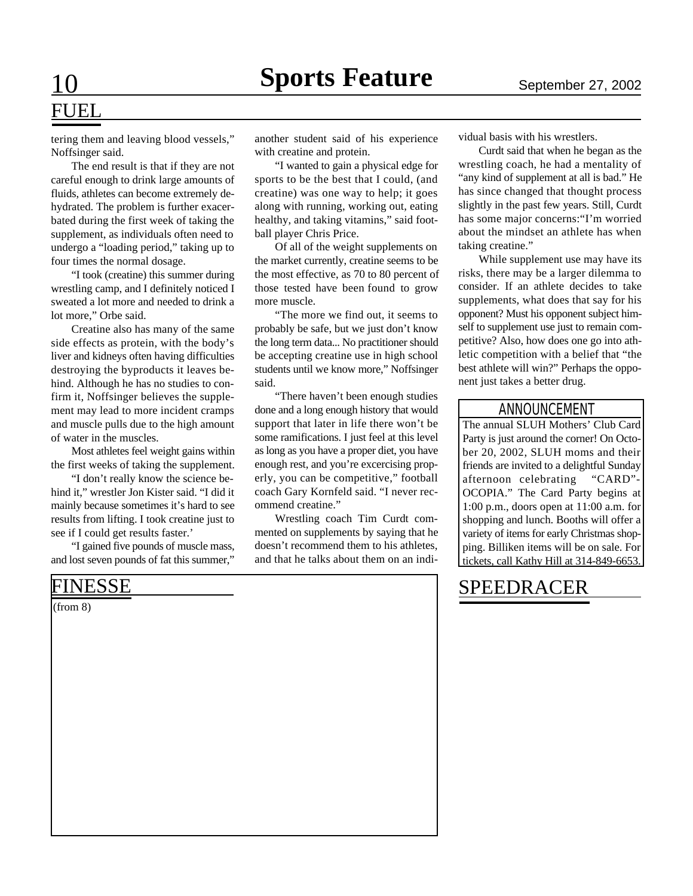# FUEL

tering them and leaving blood vessels," Noffsinger said.

The end result is that if they are not careful enough to drink large amounts of fluids, athletes can become extremely dehydrated. The problem is further exacerbated during the first week of taking the supplement, as individuals often need to undergo a "loading period," taking up to four times the normal dosage.

"I took (creatine) this summer during wrestling camp, and I definitely noticed I sweated a lot more and needed to drink a lot more," Orbe said.

Creatine also has many of the same side effects as protein, with the body's liver and kidneys often having difficulties destroying the byproducts it leaves behind. Although he has no studies to confirm it, Noffsinger believes the supplement may lead to more incident cramps and muscle pulls due to the high amount of water in the muscles.

Most athletes feel weight gains within the first weeks of taking the supplement.

"I don't really know the science behind it," wrestler Jon Kister said. "I did it mainly because sometimes it's hard to see results from lifting. I took creatine just to see if I could get results faster.'

"I gained five pounds of muscle mass, and lost seven pounds of fat this summer,"

(from 8)

another student said of his experience with creatine and protein.

"I wanted to gain a physical edge for sports to be the best that I could, (and creatine) was one way to help; it goes along with running, working out, eating healthy, and taking vitamins," said football player Chris Price.

Of all of the weight supplements on the market currently, creatine seems to be the most effective, as 70 to 80 percent of those tested have been found to grow more muscle.

"The more we find out, it seems to probably be safe, but we just don't know the long term data... No practitioner should be accepting creatine use in high school students until we know more," Noffsinger said.

"There haven't been enough studies done and a long enough history that would support that later in life there won't be some ramifications. I just feel at this level as long as you have a proper diet, you have enough rest, and you're excercising properly, you can be competitive," football coach Gary Kornfeld said. "I never recommend creatine."

Wrestling coach Tim Curdt commented on supplements by saying that he doesn't recommend them to his athletes, and that he talks about them on an individual basis with his wrestlers.

Curdt said that when he began as the wrestling coach, he had a mentality of "any kind of supplement at all is bad." He has since changed that thought process slightly in the past few years. Still, Curdt has some major concerns:"I'm worried about the mindset an athlete has when taking creatine."

While supplement use may have its risks, there may be a larger dilemma to consider. If an athlete decides to take supplements, what does that say for his opponent? Must his opponent subject himself to supplement use just to remain competitive? Also, how does one go into athletic competition with a belief that "the best athlete will win?" Perhaps the opponent just takes a better drug.

#### ANNOUNCEMENT

The annual SLUH Mothers' Club Card Party is just around the corner! On October 20, 2002, SLUH moms and their friends are invited to a delightful Sunday afternoon celebrating "CARD"- OCOPIA." The Card Party begins at 1:00 p.m., doors open at 11:00 a.m. for shopping and lunch. Booths will offer a variety of items for early Christmas shopping. Billiken items will be on sale. For tickets, call Kathy Hill at 314-849-6653.

## FINESSE SPEEDRACER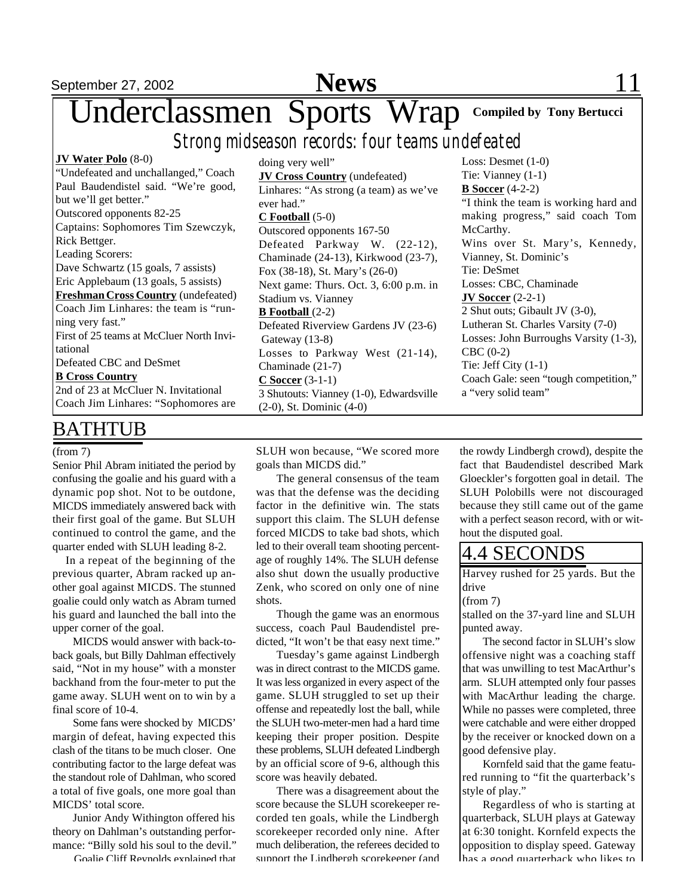# September 27, 2002 **News** 11

Underclassmen Sports Wrap **Compiled by Tony Bertucci**

*Strong midseason records: four teams undefeated*

**JV Water Polo** (8-0) "Undefeated and unchallanged," Coach Paul Baudendistel said. "We're good, but we'll get better." Outscored opponents 82-25 Captains: Sophomores Tim Szewczyk, Rick Bettger. Leading Scorers: Dave Schwartz (15 goals, 7 assists) Eric Applebaum (13 goals, 5 assists) **FreshmanCross Country** (undefeated) Coach Jim Linhares: the team is "running very fast." First of 25 teams at McCluer North Invitational Defeated CBC and DeSmet **B Cross Country** 2nd of 23 at McCluer N. Invitational Coach Jim Linhares: "Sophomores are

## BATHTUB

#### (from 7)

Senior Phil Abram initiated the period by confusing the goalie and his guard with a dynamic pop shot. Not to be outdone, MICDS immediately answered back with their first goal of the game. But SLUH continued to control the game, and the quarter ended with SLUH leading 8-2.

 In a repeat of the beginning of the previous quarter, Abram racked up another goal against MICDS. The stunned goalie could only watch as Abram turned his guard and launched the ball into the upper corner of the goal.

MICDS would answer with back-toback goals, but Billy Dahlman effectively said, "Not in my house" with a monster backhand from the four-meter to put the game away. SLUH went on to win by a final score of 10-4.

 Some fans were shocked by MICDS' margin of defeat, having expected this clash of the titans to be much closer. One contributing factor to the large defeat was the standout role of Dahlman, who scored a total of five goals, one more goal than MICDS' total score.

Junior Andy Withington offered his theory on Dahlman's outstanding performance: "Billy sold his soul to the devil."

Goalie Cliff Reynolds explained that

doing very well" **JV Cross Country** (undefeated) Linhares: "As strong (a team) as we've ever had." **C Football** (5-0) Outscored opponents 167-50 Defeated Parkway W. (22-12), Chaminade (24-13), Kirkwood (23-7), Fox (38-18), St. Mary's (26-0) Next game: Thurs. Oct. 3, 6:00 p.m. in Stadium vs. Vianney **B Football** (2-2) Defeated Riverview Gardens JV (23-6) Gateway (13-8) Losses to Parkway West (21-14), Chaminade (21-7) **C Soccer** (3-1-1) 3 Shutouts: Vianney (1-0), Edwardsville (2-0), St. Dominic (4-0)

Loss: Desmet (1-0) Tie: Vianney (1-1) **B Soccer** (4-2-2) "I think the team is working hard and making progress," said coach Tom McCarthy. Wins over St. Mary's, Kennedy, Vianney, St. Dominic's Tie: DeSmet Losses: CBC, Chaminade **JV Soccer** (2-2-1) 2 Shut outs; Gibault JV (3-0), Lutheran St. Charles Varsity (7-0) Losses: John Burroughs Varsity (1-3), CBC (0-2) Tie: Jeff City (1-1) Coach Gale: seen "tough competition," a "very solid team"

SLUH won because, "We scored more goals than MICDS did."

The general consensus of the team was that the defense was the deciding factor in the definitive win. The stats support this claim. The SLUH defense forced MICDS to take bad shots, which led to their overall team shooting percentage of roughly 14%. The SLUH defense also shut down the usually productive Zenk, who scored on only one of nine shots.

Though the game was an enormous success, coach Paul Baudendistel predicted, "It won't be that easy next time."

Tuesday's game against Lindbergh was in direct contrast to the MICDS game. It was less organized in every aspect of the game. SLUH struggled to set up their offense and repeatedly lost the ball, while the SLUH two-meter-men had a hard time keeping their proper position. Despite these problems, SLUH defeated Lindbergh by an official score of 9-6, although this score was heavily debated.

There was a disagreement about the score because the SLUH scorekeeper recorded ten goals, while the Lindbergh scorekeeper recorded only nine. After much deliberation, the referees decided to support the Lindbergh scorekeeper (and

the rowdy Lindbergh crowd), despite the fact that Baudendistel described Mark Gloeckler's forgotten goal in detail. The SLUH Polobills were not discouraged because they still came out of the game with a perfect season record, with or without the disputed goal.

### 4.4 SECONDS

Harvey rushed for 25 yards. But the drive

#### (from 7)

stalled on the 37-yard line and SLUH punted away.

The second factor in SLUH's slow offensive night was a coaching staff that was unwilling to test MacArthur's arm. SLUH attempted only four passes with MacArthur leading the charge. While no passes were completed, three were catchable and were either dropped by the receiver or knocked down on a good defensive play.

Kornfeld said that the game featured running to "fit the quarterback's style of play."

Regardless of who is starting at quarterback, SLUH plays at Gateway at 6:30 tonight. Kornfeld expects the opposition to display speed. Gateway  $\ln$ as a good quarterback who likes to  $\ln$